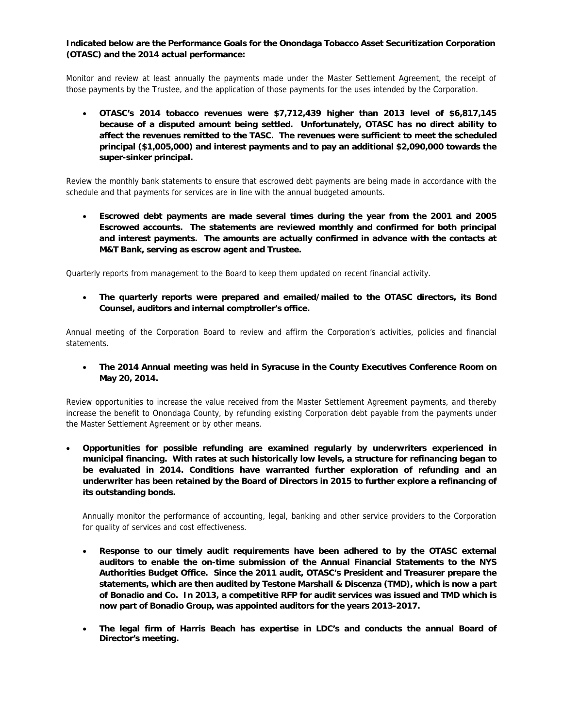## **Indicated below are the Performance Goals for the Onondaga Tobacco Asset Securitization Corporation (OTASC) and the 2014 actual performance:**

Monitor and review at least annually the payments made under the Master Settlement Agreement, the receipt of those payments by the Trustee, and the application of those payments for the uses intended by the Corporation.

 **OTASC's 2014 tobacco revenues were \$7,712,439 higher than 2013 level of \$6,817,145 because of a disputed amount being settled. Unfortunately, OTASC has no direct ability to affect the revenues remitted to the TASC. The revenues were sufficient to meet the scheduled principal (\$1,005,000) and interest payments and to pay an additional \$2,090,000 towards the super-sinker principal.** 

Review the monthly bank statements to ensure that escrowed debt payments are being made in accordance with the schedule and that payments for services are in line with the annual budgeted amounts.

 **Escrowed debt payments are made several times during the year from the 2001 and 2005 Escrowed accounts. The statements are reviewed monthly and confirmed for both principal and interest payments. The amounts are actually confirmed in advance with the contacts at M&T Bank, serving as escrow agent and Trustee.** 

Quarterly reports from management to the Board to keep them updated on recent financial activity.

 **The quarterly reports were prepared and emailed/mailed to the OTASC directors, its Bond Counsel, auditors and internal comptroller's office.** 

Annual meeting of the Corporation Board to review and affirm the Corporation's activities, policies and financial statements.

 **The 2014 Annual meeting was held in Syracuse in the County Executives Conference Room on May 20, 2014.** 

Review opportunities to increase the value received from the Master Settlement Agreement payments, and thereby increase the benefit to Onondaga County, by refunding existing Corporation debt payable from the payments under the Master Settlement Agreement or by other means.

 **Opportunities for possible refunding are examined regularly by underwriters experienced in municipal financing. With rates at such historically low levels, a structure for refinancing began to be evaluated in 2014. Conditions have warranted further exploration of refunding and an underwriter has been retained by the Board of Directors in 2015 to further explore a refinancing of its outstanding bonds.**

Annually monitor the performance of accounting, legal, banking and other service providers to the Corporation for quality of services and cost effectiveness.

- **Response to our timely audit requirements have been adhered to by the OTASC external auditors to enable the on-time submission of the Annual Financial Statements to the NYS Authorities Budget Office. Since the 2011 audit, OTASC's President and Treasurer prepare the statements, which are then audited by Testone Marshall & Discenza (TMD), which is now a part of Bonadio and Co. In 2013, a competitive RFP for audit services was issued and TMD which is now part of Bonadio Group, was appointed auditors for the years 2013-2017.**
- **The legal firm of Harris Beach has expertise in LDC's and conducts the annual Board of Director's meeting.**